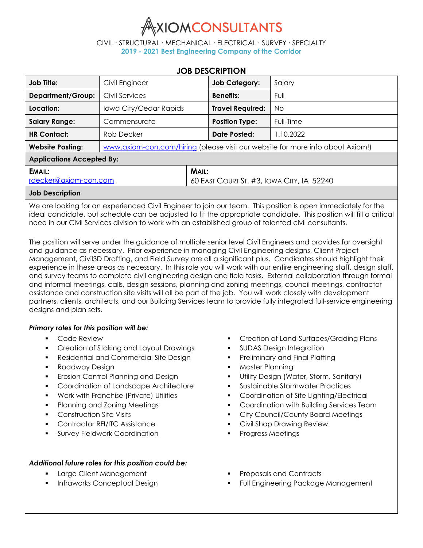

CIVIL ∙ STRUCTURAL ∙ MECHANICAL ∙ ELECTRICAL ∙ SURVEY ∙ SPECIALTY **2019 - 2021 Best Engineering Company of the Corridor**

## **JOB DESCRIPTION**

| Job Title:                       | Civil Engineer                                                                 |                                                           | <b>Job Category:</b>    | Salary    |  |  |
|----------------------------------|--------------------------------------------------------------------------------|-----------------------------------------------------------|-------------------------|-----------|--|--|
| <b>Department/Group:</b>         | Civil Services                                                                 |                                                           | <b>Benefits:</b>        | Full      |  |  |
| Location:                        | Iowa City/Cedar Rapids                                                         |                                                           | <b>Travel Required:</b> | No        |  |  |
| <b>Salary Range:</b>             | Commensurate                                                                   |                                                           | <b>Position Type:</b>   | Full-Time |  |  |
| <b>HR Contact:</b>               | Rob Decker                                                                     |                                                           | Date Posted:            | 1.10.2022 |  |  |
| <b>Website Posting:</b>          | www.axiom-con.com/hiring (please visit our website for more info about Axiom!) |                                                           |                         |           |  |  |
| <b>Applications Accepted By:</b> |                                                                                |                                                           |                         |           |  |  |
| EMAIL:<br>rdecker@axiom-con.com  |                                                                                | <b>MAIL:</b><br>60 EAST COURT ST. #3, IOWA CITY, IA 52240 |                         |           |  |  |
| <b>Job Description</b>           |                                                                                |                                                           |                         |           |  |  |

We are looking for an experienced Civil Engineer to join our team. This position is open immediately for the ideal candidate, but schedule can be adjusted to fit the appropriate candidate. This position will fill a critical need in our Civil Services division to work with an established group of talented civil consultants.

The position will serve under the guidance of multiple senior level Civil Engineers and provides for oversight and guidance as necessary. Prior experience in managing Civil Engineering designs, Client Project Management, Civil3D Drafting, and Field Survey are all a significant plus. Candidates should highlight their experience in these areas as necessary. In this role you will work with our entire engineering staff, design staff, and survey teams to complete civil engineering design and field tasks. External collaboration through formal and informal meetings, calls, design sessions, planning and zoning meetings, council meetings, contractor assistance and construction site visits will all be part of the job. You will work closely with development partners, clients, architects, and our Building Services team to provide fully integrated full-service engineering designs and plan sets.

## *Primary roles for this position will be:*

- Code Review
- **Creation of Staking and Layout Drawings**
- Residential and Commercial Site Design
- **Roadway Design**
- Erosion Control Planning and Design
- **Coordination of Landscape Architecture**
- Work with Franchise (Private) Utilities
- **Planning and Zoning Meetings**
- Construction Site Visits
- Contractor RFI/ITC Assistance
- Survey Fieldwork Coordination

## *Additional future roles for this position could be:*

- **Large Client Management**
- **Infraworks Conceptual Design**
- **•** Creation of Land-Surfaces/Grading Plans
- **SUDAS Design Integration**
- **•** Preliminary and Final Platting
- Master Planning
- Utility Design (Water, Storm, Sanitary)
- Sustainable Stormwater Practices
- **Coordination of Site Lighting/Electrical**
- **Coordination with Building Services Team**
- City Council/County Board Meetings
- **Civil Shop Drawing Review**
- **Progress Meetings**
- Proposals and Contracts
- Full Engineering Package Management